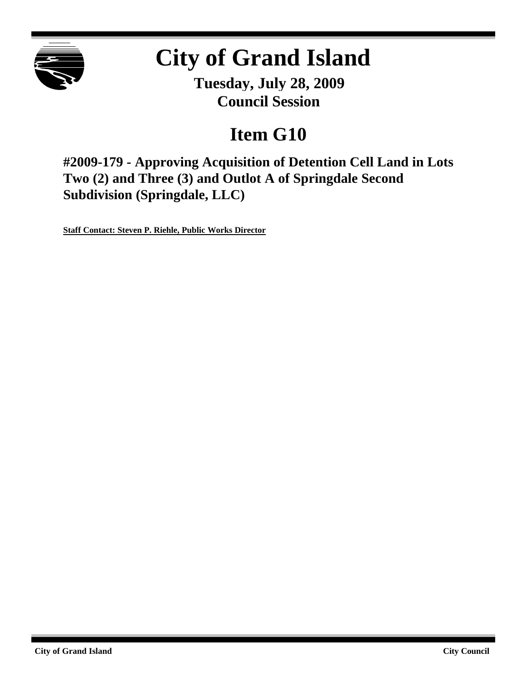

## **City of Grand Island**

**Tuesday, July 28, 2009 Council Session**

## **Item G10**

**#2009-179 - Approving Acquisition of Detention Cell Land in Lots Two (2) and Three (3) and Outlot A of Springdale Second Subdivision (Springdale, LLC)**

**Staff Contact: Steven P. Riehle, Public Works Director**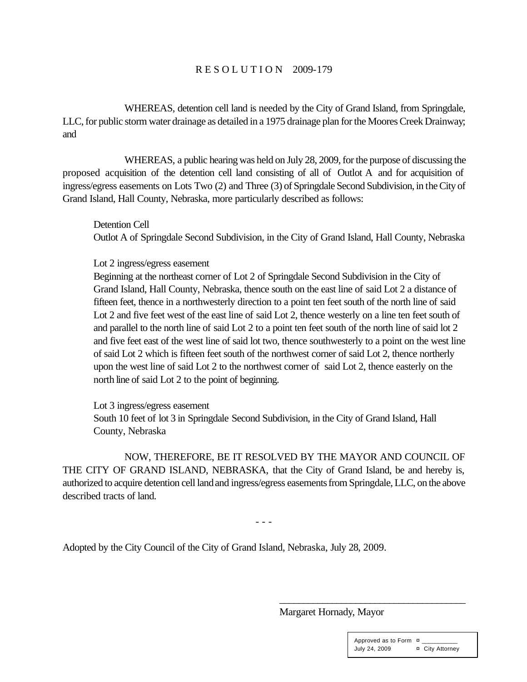## R E S O L U T I O N 2009-179

WHEREAS, detention cell land is needed by the City of Grand Island, from Springdale, LLC, for public storm water drainage as detailed in a 1975 drainage plan for the Moores Creek Drainway; and

WHEREAS, a public hearing was held on July 28, 2009, for the purpose of discussing the proposed acquisition of the detention cell land consisting of all of Outlot A and for acquisition of ingress/egress easements on Lots Two (2) and Three (3) of Springdale Second Subdivision, in the City of Grand Island, Hall County, Nebraska, more particularly described as follows:

Detention Cell Outlot A of Springdale Second Subdivision, in the City of Grand Island, Hall County, Nebraska

Lot 2 ingress/egress easement

Beginning at the northeast corner of Lot 2 of Springdale Second Subdivision in the City of Grand Island, Hall County, Nebraska, thence south on the east line of said Lot 2 a distance of fifteen feet, thence in a northwesterly direction to a point ten feet south of the north line of said Lot 2 and five feet west of the east line of said Lot 2, thence westerly on a line ten feet south of and parallel to the north line of said Lot 2 to a point ten feet south of the north line of said lot 2 and five feet east of the west line of said lot two, thence southwesterly to a point on the west line of said Lot 2 which is fifteen feet south of the northwest corner of said Lot 2, thence northerly upon the west line of said Lot 2 to the northwest corner of said Lot 2, thence easterly on the north line of said Lot 2 to the point of beginning.

Lot 3 ingress/egress easement South 10 feet of lot 3 in Springdale Second Subdivision, in the City of Grand Island, Hall County, Nebraska

NOW, THEREFORE, BE IT RESOLVED BY THE MAYOR AND COUNCIL OF THE CITY OF GRAND ISLAND, NEBRASKA, that the City of Grand Island, be and hereby is, authorized to acquire detention cell land and ingress/egress easements from Springdale, LLC, on the above described tracts of land.

- - -

Adopted by the City Council of the City of Grand Island, Nebraska, July 28, 2009.

Margaret Hornady, Mayor

\_\_\_\_\_\_\_\_\_\_\_\_\_\_\_\_\_\_\_\_\_\_\_\_\_\_\_\_\_\_\_\_\_\_\_\_\_\_\_

Approved as to Form  $\overline{p}$ July 24, 2009 **¤** City Attorney